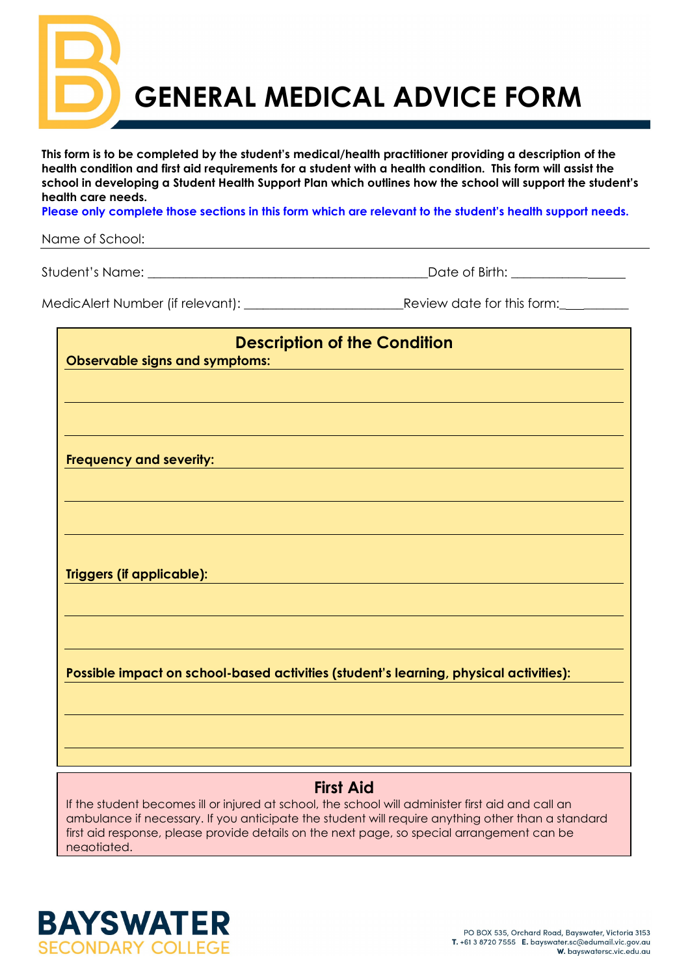**GENERAL MEDICAL ADVICE FORM**

**This form is to be completed by the student's medical/health practitioner providing a description of the health condition and first aid requirements for a student with a health condition. This form will assist the school in developing a Student Health Support Plan which outlines how the school will support the student's health care needs.**

**Please only complete those sections in this form which are relevant to the student's health support needs.** 

Name of School:

Student's Name: \_\_\_\_\_\_\_\_\_\_\_\_\_\_\_\_\_\_\_\_\_\_\_\_\_\_\_\_\_\_\_\_\_\_\_\_\_\_\_\_\_\_\_\_Date of Birth: \_\_\_\_\_\_\_\_\_\_\_\_

| MedicAlert Number (if relevant): |  |
|----------------------------------|--|

Review date for this form:

| <b>Description of the Condition</b>                                                   |
|---------------------------------------------------------------------------------------|
| <b>Observable signs and symptoms:</b>                                                 |
|                                                                                       |
|                                                                                       |
|                                                                                       |
|                                                                                       |
| Frequency and severity:                                                               |
|                                                                                       |
|                                                                                       |
|                                                                                       |
|                                                                                       |
| <b>Triggers (if applicable):</b>                                                      |
|                                                                                       |
|                                                                                       |
|                                                                                       |
|                                                                                       |
| Possible impact on school-based activities (student's learning, physical activities): |
|                                                                                       |
|                                                                                       |
|                                                                                       |
|                                                                                       |
|                                                                                       |

## **First Aid**

If the student becomes ill or injured at school, the school will administer first aid and call an ambulance if necessary. If you anticipate the student will require anything other than a standard first aid response, please provide details on the next page, so special arrangement can be negotiated.